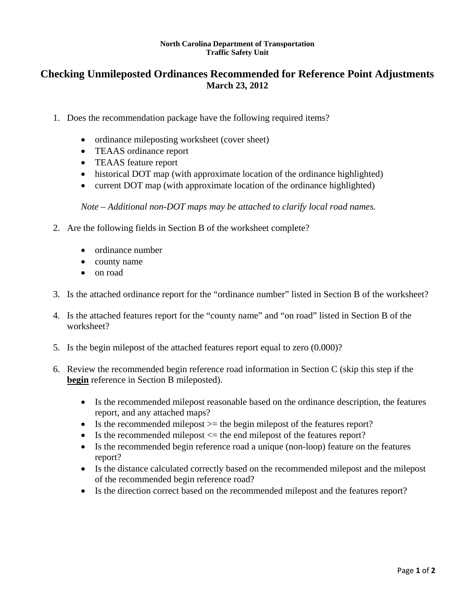## **North Carolina Department of Transportation Traffic Safety Unit**

## **Checking Unmileposted Ordinances Recommended for Reference Point Adjustments March 23, 2012**

- 1. Does the recommendation package have the following required items?
	- ordinance mileposting worksheet (cover sheet)
	- TEAAS ordinance report
	- TEAAS feature report
	- historical DOT map (with approximate location of the ordinance highlighted)
	- current DOT map (with approximate location of the ordinance highlighted)

*Note – Additional non-DOT maps may be attached to clarify local road names.* 

- 2. Are the following fields in Section B of the worksheet complete?
	- ordinance number
	- county name
	- on road
- 3. Is the attached ordinance report for the "ordinance number" listed in Section B of the worksheet?
- 4. Is the attached features report for the "county name" and "on road" listed in Section B of the worksheet?
- 5. Is the begin milepost of the attached features report equal to zero (0.000)?
- 6. Review the recommended begin reference road information in Section C (skip this step if the **begin** reference in Section B mileposted).
	- Is the recommended milepost reasonable based on the ordinance description, the features report, and any attached maps?
	- $\bullet$  Is the recommended milepost  $\epsilon$  the begin milepost of the features report?
	- $\bullet$  Is the recommended milepost  $\leq$  the end milepost of the features report?
	- Is the recommended begin reference road a unique (non-loop) feature on the features report?
	- Is the distance calculated correctly based on the recommended milepost and the milepost of the recommended begin reference road?
	- Is the direction correct based on the recommended milepost and the features report?